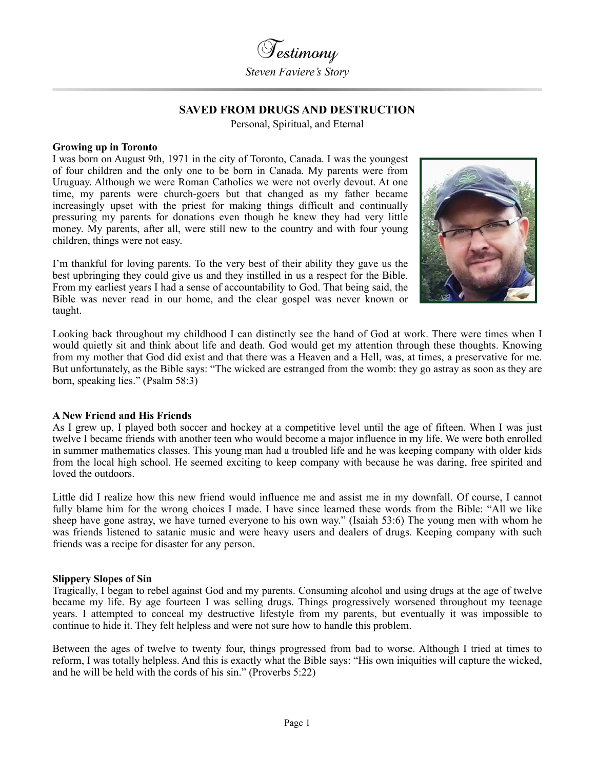

# **SAVED FROM DRUGS AND DESTRUCTION**

Personal, Spiritual, and Eternal

#### **Growing up in Toronto**

I was born on August 9th, 1971 in the city of Toronto, Canada. I was the youngest of four children and the only one to be born in Canada. My parents were from Uruguay. Although we were Roman Catholics we were not overly devout. At one time, my parents were church-goers but that changed as my father became increasingly upset with the priest for making things difficult and continually pressuring my parents for donations even though he knew they had very little money. My parents, after all, were still new to the country and with four young children, things were not easy.

I'm thankful for loving parents. To the very best of their ability they gave us the best upbringing they could give us and they instilled in us a respect for the Bible. From my earliest years I had a sense of accountability to God. That being said, the Bible was never read in our home, and the clear gospel was never known or taught.



Looking back throughout my childhood I can distinctly see the hand of God at work. There were times when I would quietly sit and think about life and death. God would get my attention through these thoughts. Knowing from my mother that God did exist and that there was a Heaven and a Hell, was, at times, a preservative for me. But unfortunately, as the Bible says: "The wicked are estranged from the womb: they go astray as soon as they are born, speaking lies." (Psalm 58:3)

# **A New Friend and His Friends**

As I grew up, I played both soccer and hockey at a competitive level until the age of fifteen. When I was just twelve I became friends with another teen who would become a major influence in my life. We were both enrolled in summer mathematics classes. This young man had a troubled life and he was keeping company with older kids from the local high school. He seemed exciting to keep company with because he was daring, free spirited and loved the outdoors.

Little did I realize how this new friend would influence me and assist me in my downfall. Of course, I cannot fully blame him for the wrong choices I made. I have since learned these words from the Bible: "All we like sheep have gone astray, we have turned everyone to his own way." (Isaiah 53:6) The young men with whom he was friends listened to satanic music and were heavy users and dealers of drugs. Keeping company with such friends was a recipe for disaster for any person.

#### **Slippery Slopes of Sin**

Tragically, I began to rebel against God and my parents. Consuming alcohol and using drugs at the age of twelve became my life. By age fourteen I was selling drugs. Things progressively worsened throughout my teenage years. I attempted to conceal my destructive lifestyle from my parents, but eventually it was impossible to continue to hide it. They felt helpless and were not sure how to handle this problem.

Between the ages of twelve to twenty four, things progressed from bad to worse. Although I tried at times to reform, I was totally helpless. And this is exactly what the Bible says: "His own iniquities will capture the wicked, and he will be held with the cords of his sin." (Proverbs 5:22)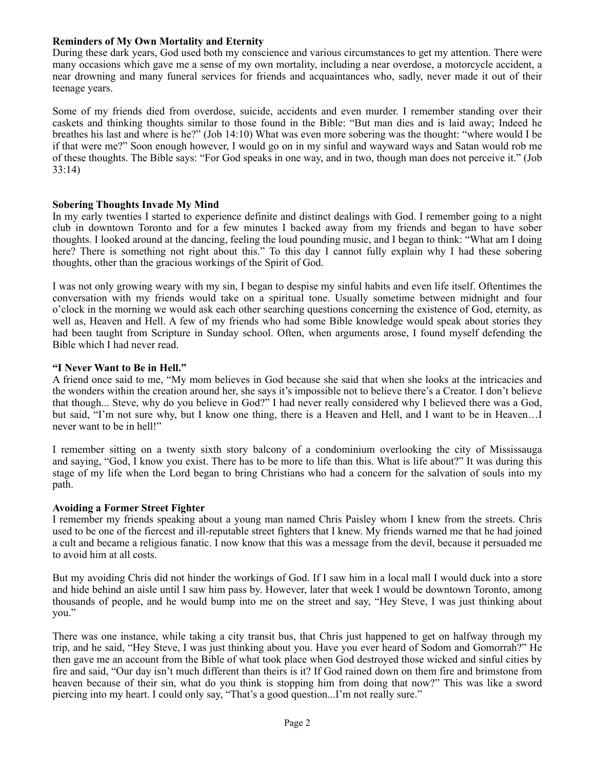# **Reminders of My Own Mortality and Eternity**

During these dark years, God used both my conscience and various circumstances to get my attention. There were many occasions which gave me a sense of my own mortality, including a near overdose, a motorcycle accident, a near drowning and many funeral services for friends and acquaintances who, sadly, never made it out of their teenage years.

Some of my friends died from overdose, suicide, accidents and even murder. I remember standing over their caskets and thinking thoughts similar to those found in the Bible: "But man dies and is laid away; Indeed he breathes his last and where is he?" (Job 14:10) What was even more sobering was the thought: "where would I be if that were me?" Soon enough however, I would go on in my sinful and wayward ways and Satan would rob me of these thoughts. The Bible says: "For God speaks in one way, and in two, though man does not perceive it." (Job 33:14)

# **Sobering Thoughts Invade My Mind**

In my early twenties I started to experience definite and distinct dealings with God. I remember going to a night club in downtown Toronto and for a few minutes I backed away from my friends and began to have sober thoughts. I looked around at the dancing, feeling the loud pounding music, and I began to think: "What am I doing here? There is something not right about this." To this day I cannot fully explain why I had these sobering thoughts, other than the gracious workings of the Spirit of God.

I was not only growing weary with my sin, I began to despise my sinful habits and even life itself. Oftentimes the conversation with my friends would take on a spiritual tone. Usually sometime between midnight and four o'clock in the morning we would ask each other searching questions concerning the existence of God, eternity, as well as, Heaven and Hell. A few of my friends who had some Bible knowledge would speak about stories they had been taught from Scripture in Sunday school. Often, when arguments arose, I found myself defending the Bible which I had never read.

## **"I Never Want to Be in Hell."**

A friend once said to me, "My mom believes in God because she said that when she looks at the intricacies and the wonders within the creation around her, she says it's impossible not to believe there's a Creator. I don't believe that though... Steve, why do you believe in God?" I had never really considered why I believed there was a God, but said, "I'm not sure why, but I know one thing, there is a Heaven and Hell, and I want to be in Heaven…I never want to be in hell!"

I remember sitting on a twenty sixth story balcony of a condominium overlooking the city of Mississauga and saying, "God, I know you exist. There has to be more to life than this. What is life about?" It was during this stage of my life when the Lord began to bring Christians who had a concern for the salvation of souls into my path.

# **Avoiding a Former Street Fighter**

I remember my friends speaking about a young man named Chris Paisley whom I knew from the streets. Chris used to be one of the fiercest and ill-reputable street fighters that I knew. My friends warned me that he had joined a cult and became a religious fanatic. I now know that this was a message from the devil, because it persuaded me to avoid him at all costs.

But my avoiding Chris did not hinder the workings of God. If I saw him in a local mall I would duck into a store and hide behind an aisle until I saw him pass by. However, later that week I would be downtown Toronto, among thousands of people, and he would bump into me on the street and say, "Hey Steve, I was just thinking about you."

There was one instance, while taking a city transit bus, that Chris just happened to get on halfway through my trip, and he said, "Hey Steve, I was just thinking about you. Have you ever heard of Sodom and Gomorrah?" He then gave me an account from the Bible of what took place when God destroyed those wicked and sinful cities by fire and said, "Our day isn't much different than theirs is it? If God rained down on them fire and brimstone from heaven because of their sin, what do you think is stopping him from doing that now?" This was like a sword piercing into my heart. I could only say, "That's a good question...I'm not really sure."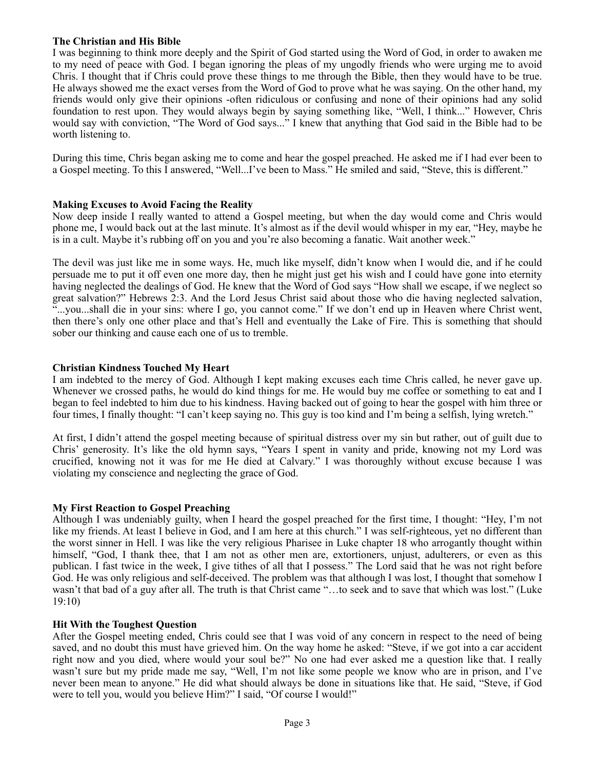# **The Christian and His Bible**

I was beginning to think more deeply and the Spirit of God started using the Word of God, in order to awaken me to my need of peace with God. I began ignoring the pleas of my ungodly friends who were urging me to avoid Chris. I thought that if Chris could prove these things to me through the Bible, then they would have to be true. He always showed me the exact verses from the Word of God to prove what he was saying. On the other hand, my friends would only give their opinions -often ridiculous or confusing and none of their opinions had any solid foundation to rest upon. They would always begin by saying something like, "Well, I think..." However, Chris would say with conviction, "The Word of God says..." I knew that anything that God said in the Bible had to be worth listening to.

During this time, Chris began asking me to come and hear the gospel preached. He asked me if I had ever been to a Gospel meeting. To this I answered, "Well...I've been to Mass." He smiled and said, "Steve, this is different."

## **Making Excuses to Avoid Facing the Reality**

Now deep inside I really wanted to attend a Gospel meeting, but when the day would come and Chris would phone me, I would back out at the last minute. It's almost as if the devil would whisper in my ear, "Hey, maybe he is in a cult. Maybe it's rubbing off on you and you're also becoming a fanatic. Wait another week."

The devil was just like me in some ways. He, much like myself, didn't know when I would die, and if he could persuade me to put it off even one more day, then he might just get his wish and I could have gone into eternity having neglected the dealings of God. He knew that the Word of God says "How shall we escape, if we neglect so great salvation?" Hebrews 2:3. And the Lord Jesus Christ said about those who die having neglected salvation, "...you...shall die in your sins: where I go, you cannot come." If we don't end up in Heaven where Christ went, then there's only one other place and that's Hell and eventually the Lake of Fire. This is something that should sober our thinking and cause each one of us to tremble.

## **Christian Kindness Touched My Heart**

I am indebted to the mercy of God. Although I kept making excuses each time Chris called, he never gave up. Whenever we crossed paths, he would do kind things for me. He would buy me coffee or something to eat and I began to feel indebted to him due to his kindness. Having backed out of going to hear the gospel with him three or four times, I finally thought: "I can't keep saying no. This guy is too kind and I'm being a selfish, lying wretch."

At first, I didn't attend the gospel meeting because of spiritual distress over my sin but rather, out of guilt due to Chris' generosity. It's like the old hymn says, "Years I spent in vanity and pride, knowing not my Lord was crucified, knowing not it was for me He died at Calvary." I was thoroughly without excuse because I was violating my conscience and neglecting the grace of God.

# **My First Reaction to Gospel Preaching**

Although I was undeniably guilty, when I heard the gospel preached for the first time, I thought: "Hey, I'm not like my friends. At least I believe in God, and I am here at this church." I was self-righteous, yet no different than the worst sinner in Hell. I was like the very religious Pharisee in Luke chapter 18 who arrogantly thought within himself, "God, I thank thee, that I am not as other men are, extortioners, unjust, adulterers, or even as this publican. I fast twice in the week, I give tithes of all that I possess." The Lord said that he was not right before God. He was only religious and self-deceived. The problem was that although I was lost, I thought that somehow I wasn't that bad of a guy after all. The truth is that Christ came "…to seek and to save that which was lost." (Luke 19:10)

#### **Hit With the Toughest Question**

After the Gospel meeting ended, Chris could see that I was void of any concern in respect to the need of being saved, and no doubt this must have grieved him. On the way home he asked: "Steve, if we got into a car accident right now and you died, where would your soul be?" No one had ever asked me a question like that. I really wasn't sure but my pride made me say, "Well, I'm not like some people we know who are in prison, and I've never been mean to anyone." He did what should always be done in situations like that. He said, "Steve, if God were to tell you, would you believe Him?" I said, "Of course I would!"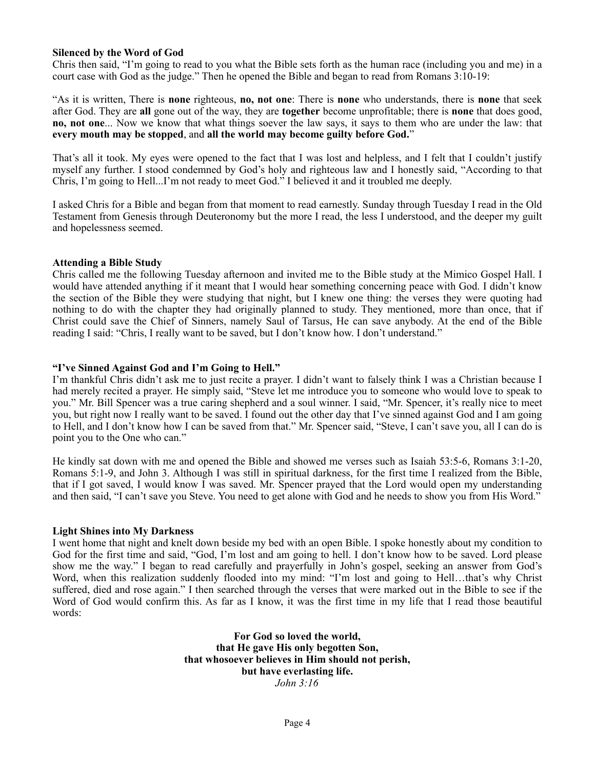## **Silenced by the Word of God**

Chris then said, "I'm going to read to you what the Bible sets forth as the human race (including you and me) in a court case with God as the judge." Then he opened the Bible and began to read from Romans 3:10-19:

"As it is written, There is **none** righteous, **no, not one**: There is **none** who understands, there is **none** that seek after God. They are **all** gone out of the way, they are **together** become unprofitable; there is **none** that does good, **no, not one**... Now we know that what things soever the law says, it says to them who are under the law: that **every mouth may be stopped**, and **all the world may become guilty before God.**"

That's all it took. My eyes were opened to the fact that I was lost and helpless, and I felt that I couldn't justify myself any further. I stood condemned by God's holy and righteous law and I honestly said, "According to that Chris, I'm going to Hell...I'm not ready to meet God." I believed it and it troubled me deeply.

I asked Chris for a Bible and began from that moment to read earnestly. Sunday through Tuesday I read in the Old Testament from Genesis through Deuteronomy but the more I read, the less I understood, and the deeper my guilt and hopelessness seemed.

## **Attending a Bible Study**

Chris called me the following Tuesday afternoon and invited me to the Bible study at the Mimico Gospel Hall. I would have attended anything if it meant that I would hear something concerning peace with God. I didn't know the section of the Bible they were studying that night, but I knew one thing: the verses they were quoting had nothing to do with the chapter they had originally planned to study. They mentioned, more than once, that if Christ could save the Chief of Sinners, namely Saul of Tarsus, He can save anybody. At the end of the Bible reading I said: "Chris, I really want to be saved, but I don't know how. I don't understand."

## **"I've Sinned Against God and I'm Going to Hell."**

I'm thankful Chris didn't ask me to just recite a prayer. I didn't want to falsely think I was a Christian because I had merely recited a prayer. He simply said, "Steve let me introduce you to someone who would love to speak to you." Mr. Bill Spencer was a true caring shepherd and a soul winner. I said, "Mr. Spencer, it's really nice to meet you, but right now I really want to be saved. I found out the other day that I've sinned against God and I am going to Hell, and I don't know how I can be saved from that." Mr. Spencer said, "Steve, I can't save you, all I can do is point you to the One who can."

He kindly sat down with me and opened the Bible and showed me verses such as Isaiah 53:5-6, Romans 3:1-20, Romans 5:1-9, and John 3. Although I was still in spiritual darkness, for the first time I realized from the Bible, that if I got saved, I would know I was saved. Mr. Spencer prayed that the Lord would open my understanding and then said, "I can't save you Steve. You need to get alone with God and he needs to show you from His Word."

#### **Light Shines into My Darkness**

I went home that night and knelt down beside my bed with an open Bible. I spoke honestly about my condition to God for the first time and said, "God, I'm lost and am going to hell. I don't know how to be saved. Lord please show me the way." I began to read carefully and prayerfully in John's gospel, seeking an answer from God's Word, when this realization suddenly flooded into my mind: "I'm lost and going to Hell...that's why Christ suffered, died and rose again." I then searched through the verses that were marked out in the Bible to see if the Word of God would confirm this. As far as I know, it was the first time in my life that I read those beautiful words:

> **For God so loved the world, that He gave His only begotten Son, that whosoever believes in Him should not perish, but have everlasting life.** *John 3:16*